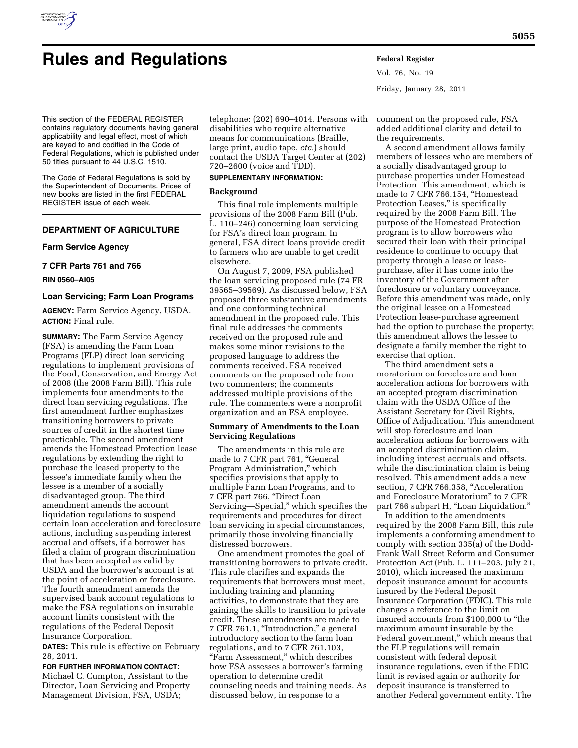

# **Rules and Regulations Federal Register**

Vol. 76, No. 19 Friday, January 28, 2011

This section of the FEDERAL REGISTER contains regulatory documents having general applicability and legal effect, most of which are keyed to and codified in the Code of Federal Regulations, which is published under 50 titles pursuant to 44 U.S.C. 1510.

The Code of Federal Regulations is sold by the Superintendent of Documents. Prices of new books are listed in the first FEDERAL REGISTER issue of each week.

# **DEPARTMENT OF AGRICULTURE**

# **Farm Service Agency**

**7 CFR Parts 761 and 766** 

## **RIN 0560–AI05**

## **Loan Servicing; Farm Loan Programs**

**AGENCY:** Farm Service Agency, USDA. **ACTION:** Final rule.

**SUMMARY:** The Farm Service Agency (FSA) is amending the Farm Loan Programs (FLP) direct loan servicing regulations to implement provisions of the Food, Conservation, and Energy Act of 2008 (the 2008 Farm Bill). This rule implements four amendments to the direct loan servicing regulations. The first amendment further emphasizes transitioning borrowers to private sources of credit in the shortest time practicable. The second amendment amends the Homestead Protection lease regulations by extending the right to purchase the leased property to the lessee's immediate family when the lessee is a member of a socially disadvantaged group. The third amendment amends the account liquidation regulations to suspend certain loan acceleration and foreclosure actions, including suspending interest accrual and offsets, if a borrower has filed a claim of program discrimination that has been accepted as valid by USDA and the borrower's account is at the point of acceleration or foreclosure. The fourth amendment amends the supervised bank account regulations to make the FSA regulations on insurable account limits consistent with the regulations of the Federal Deposit Insurance Corporation.

**DATES:** This rule is effective on February 28, 2011.

# **FOR FURTHER INFORMATION CONTACT:**

Michael C. Cumpton, Assistant to the Director, Loan Servicing and Property Management Division, FSA, USDA;

telephone: (202) 690–4014. Persons with disabilities who require alternative means for communications (Braille, large print, audio tape, *etc.*) should contact the USDA Target Center at (202) 720–2600 (voice and TDD).

# **SUPPLEMENTARY INFORMATION:**

## **Background**

This final rule implements multiple provisions of the 2008 Farm Bill (Pub. L. 110–246) concerning loan servicing for FSA's direct loan program. In general, FSA direct loans provide credit to farmers who are unable to get credit elsewhere.

On August 7, 2009, FSA published the loan servicing proposed rule (74 FR 39565–39569). As discussed below, FSA proposed three substantive amendments and one conforming technical amendment in the proposed rule. This final rule addresses the comments received on the proposed rule and makes some minor revisions to the proposed language to address the comments received. FSA received comments on the proposed rule from two commenters; the comments addressed multiple provisions of the rule. The commenters were a nonprofit organization and an FSA employee.

## **Summary of Amendments to the Loan Servicing Regulations**

The amendments in this rule are made to 7 CFR part 761, "General Program Administration,'' which specifies provisions that apply to multiple Farm Loan Programs, and to 7 CFR part 766, ''Direct Loan Servicing—Special,'' which specifies the requirements and procedures for direct loan servicing in special circumstances, primarily those involving financially distressed borrowers.

One amendment promotes the goal of transitioning borrowers to private credit. This rule clarifies and expands the requirements that borrowers must meet, including training and planning activities, to demonstrate that they are gaining the skills to transition to private credit. These amendments are made to 7 CFR 761.1, ''Introduction,'' a general introductory section to the farm loan regulations, and to 7 CFR 761.103, "Farm Assessment," which describes how FSA assesses a borrower's farming operation to determine credit counseling needs and training needs. As discussed below, in response to a

comment on the proposed rule, FSA added additional clarity and detail to the requirements.

A second amendment allows family members of lessees who are members of a socially disadvantaged group to purchase properties under Homestead Protection. This amendment, which is made to 7 CFR 766.154, "Homestead Protection Leases," is specifically required by the 2008 Farm Bill. The purpose of the Homestead Protection program is to allow borrowers who secured their loan with their principal residence to continue to occupy that property through a lease or leasepurchase, after it has come into the inventory of the Government after foreclosure or voluntary conveyance. Before this amendment was made, only the original lessee on a Homestead Protection lease-purchase agreement had the option to purchase the property; this amendment allows the lessee to designate a family member the right to exercise that option.

The third amendment sets a moratorium on foreclosure and loan acceleration actions for borrowers with an accepted program discrimination claim with the USDA Office of the Assistant Secretary for Civil Rights, Office of Adjudication. This amendment will stop foreclosure and loan acceleration actions for borrowers with an accepted discrimination claim, including interest accruals and offsets, while the discrimination claim is being resolved. This amendment adds a new section, 7 CFR 766.358, "Acceleration and Foreclosure Moratorium'' to 7 CFR part 766 subpart H, "Loan Liquidation."

In addition to the amendments required by the 2008 Farm Bill, this rule implements a conforming amendment to comply with section 335(a) of the Dodd-Frank Wall Street Reform and Consumer Protection Act (Pub. L. 111–203, July 21, 2010), which increased the maximum deposit insurance amount for accounts insured by the Federal Deposit Insurance Corporation (FDIC). This rule changes a reference to the limit on insured accounts from \$100,000 to ''the maximum amount insurable by the Federal government,'' which means that the FLP regulations will remain consistent with federal deposit insurance regulations, even if the FDIC limit is revised again or authority for deposit insurance is transferred to another Federal government entity. The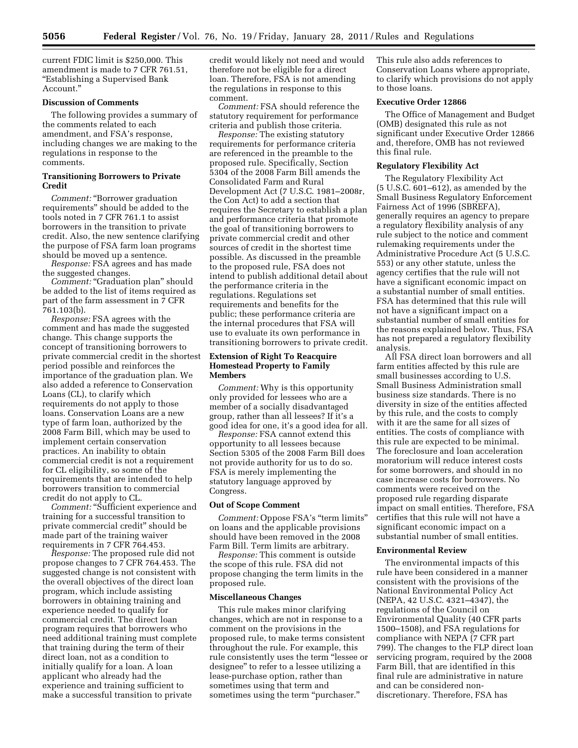current FDIC limit is \$250,000. This amendment is made to 7 CFR 761.51, ''Establishing a Supervised Bank Account.''

# **Discussion of Comments**

The following provides a summary of the comments related to each amendment, and FSA's response, including changes we are making to the regulations in response to the comments.

# **Transitioning Borrowers to Private Credit**

*Comment:* ''Borrower graduation requirements'' should be added to the tools noted in 7 CFR 761.1 to assist borrowers in the transition to private credit. Also, the new sentence clarifying the purpose of FSA farm loan programs should be moved up a sentence.

*Response:* FSA agrees and has made the suggested changes.

*Comment:* "Graduation plan" should be added to the list of items required as part of the farm assessment in 7 CFR 761.103(b).

*Response:* FSA agrees with the comment and has made the suggested change. This change supports the concept of transitioning borrowers to private commercial credit in the shortest period possible and reinforces the importance of the graduation plan. We also added a reference to Conservation Loans (CL), to clarify which requirements do not apply to those loans. Conservation Loans are a new type of farm loan, authorized by the 2008 Farm Bill, which may be used to implement certain conservation practices. An inability to obtain commercial credit is not a requirement for CL eligibility, so some of the requirements that are intended to help borrowers transition to commercial credit do not apply to CL.

*Comment:* ''Sufficient experience and training for a successful transition to private commercial credit'' should be made part of the training waiver requirements in 7 CFR 764.453.

*Response:* The proposed rule did not propose changes to 7 CFR 764.453. The suggested change is not consistent with the overall objectives of the direct loan program, which include assisting borrowers in obtaining training and experience needed to qualify for commercial credit. The direct loan program requires that borrowers who need additional training must complete that training during the term of their direct loan, not as a condition to initially qualify for a loan. A loan applicant who already had the experience and training sufficient to make a successful transition to private

credit would likely not need and would therefore not be eligible for a direct loan. Therefore, FSA is not amending the regulations in response to this comment.

*Comment:* FSA should reference the statutory requirement for performance criteria and publish those criteria.

*Response:* The existing statutory requirements for performance criteria are referenced in the preamble to the proposed rule. Specifically, Section 5304 of the 2008 Farm Bill amends the Consolidated Farm and Rural Development Act (7 U.S.C. 1981–2008r, the Con Act) to add a section that requires the Secretary to establish a plan and performance criteria that promote the goal of transitioning borrowers to private commercial credit and other sources of credit in the shortest time possible. As discussed in the preamble to the proposed rule, FSA does not intend to publish additional detail about the performance criteria in the regulations. Regulations set requirements and benefits for the public; these performance criteria are the internal procedures that FSA will use to evaluate its own performance in transitioning borrowers to private credit.

# **Extension of Right To Reacquire Homestead Property to Family Members**

*Comment:* Why is this opportunity only provided for lessees who are a member of a socially disadvantaged group, rather than all lessees? If it's a good idea for one, it's a good idea for all.

*Response:* FSA cannot extend this opportunity to all lessees because Section 5305 of the 2008 Farm Bill does not provide authority for us to do so. FSA is merely implementing the statutory language approved by Congress.

#### **Out of Scope Comment**

*Comment:* Oppose FSA's ''term limits'' on loans and the applicable provisions should have been removed in the 2008 Farm Bill. Term limits are arbitrary.

*Response:* This comment is outside the scope of this rule. FSA did not propose changing the term limits in the proposed rule.

#### **Miscellaneous Changes**

This rule makes minor clarifying changes, which are not in response to a comment on the provisions in the proposed rule, to make terms consistent throughout the rule. For example, this rule consistently uses the term ''lessee or designee'' to refer to a lessee utilizing a lease-purchase option, rather than sometimes using that term and sometimes using the term "purchaser."

This rule also adds references to Conservation Loans where appropriate, to clarify which provisions do not apply to those loans.

# **Executive Order 12866**

The Office of Management and Budget (OMB) designated this rule as not significant under Executive Order 12866 and, therefore, OMB has not reviewed this final rule.

## **Regulatory Flexibility Act**

The Regulatory Flexibility Act (5 U.S.C. 601–612), as amended by the Small Business Regulatory Enforcement Fairness Act of 1996 (SBREFA), generally requires an agency to prepare a regulatory flexibility analysis of any rule subject to the notice and comment rulemaking requirements under the Administrative Procedure Act (5 U.S.C. 553) or any other statute, unless the agency certifies that the rule will not have a significant economic impact on a substantial number of small entities. FSA has determined that this rule will not have a significant impact on a substantial number of small entities for the reasons explained below. Thus, FSA has not prepared a regulatory flexibility analysis.

All FSA direct loan borrowers and all farm entities affected by this rule are small businesses according to U.S. Small Business Administration small business size standards. There is no diversity in size of the entities affected by this rule, and the costs to comply with it are the same for all sizes of entities. The costs of compliance with this rule are expected to be minimal. The foreclosure and loan acceleration moratorium will reduce interest costs for some borrowers, and should in no case increase costs for borrowers. No comments were received on the proposed rule regarding disparate impact on small entities. Therefore, FSA certifies that this rule will not have a significant economic impact on a substantial number of small entities.

#### **Environmental Review**

The environmental impacts of this rule have been considered in a manner consistent with the provisions of the National Environmental Policy Act (NEPA, 42 U.S.C. 4321–4347), the regulations of the Council on Environmental Quality (40 CFR parts 1500–1508), and FSA regulations for compliance with NEPA (7 CFR part 799). The changes to the FLP direct loan servicing program, required by the 2008 Farm Bill, that are identified in this final rule are administrative in nature and can be considered nondiscretionary. Therefore, FSA has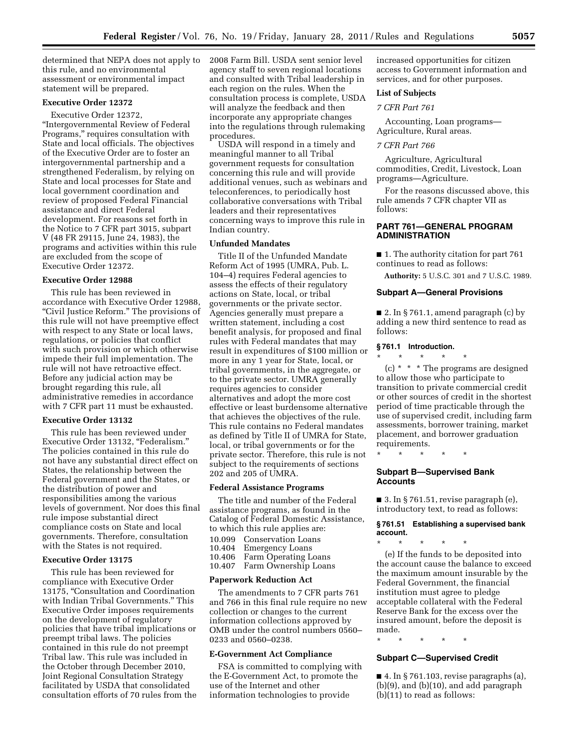determined that NEPA does not apply to this rule, and no environmental assessment or environmental impact statement will be prepared.

# **Executive Order 12372**

Executive Order 12372, ''Intergovernmental Review of Federal Programs,'' requires consultation with State and local officials. The objectives of the Executive Order are to foster an intergovernmental partnership and a strengthened Federalism, by relying on State and local processes for State and local government coordination and review of proposed Federal Financial assistance and direct Federal development. For reasons set forth in the Notice to 7 CFR part 3015, subpart V (48 FR 29115, June 24, 1983), the programs and activities within this rule are excluded from the scope of Executive Order 12372.

## **Executive Order 12988**

This rule has been reviewed in accordance with Executive Order 12988, ''Civil Justice Reform.'' The provisions of this rule will not have preemptive effect with respect to any State or local laws, regulations, or policies that conflict with such provision or which otherwise impede their full implementation. The rule will not have retroactive effect. Before any judicial action may be brought regarding this rule, all administrative remedies in accordance with 7 CFR part 11 must be exhausted.

## **Executive Order 13132**

This rule has been reviewed under Executive Order 13132, "Federalism." The policies contained in this rule do not have any substantial direct effect on States, the relationship between the Federal government and the States, or the distribution of power and responsibilities among the various levels of government. Nor does this final rule impose substantial direct compliance costs on State and local governments. Therefore, consultation with the States is not required.

#### **Executive Order 13175**

This rule has been reviewed for compliance with Executive Order 13175, ''Consultation and Coordination with Indian Tribal Governments.'' This Executive Order imposes requirements on the development of regulatory policies that have tribal implications or preempt tribal laws. The policies contained in this rule do not preempt Tribal law. This rule was included in the October through December 2010, Joint Regional Consultation Strategy facilitated by USDA that consolidated consultation efforts of 70 rules from the 2008 Farm Bill. USDA sent senior level agency staff to seven regional locations and consulted with Tribal leadership in each region on the rules. When the consultation process is complete, USDA will analyze the feedback and then incorporate any appropriate changes into the regulations through rulemaking procedures.

USDA will respond in a timely and meaningful manner to all Tribal government requests for consultation concerning this rule and will provide additional venues, such as webinars and teleconferences, to periodically host collaborative conversations with Tribal leaders and their representatives concerning ways to improve this rule in Indian country.

#### **Unfunded Mandates**

Title II of the Unfunded Mandate Reform Act of 1995 (UMRA, Pub. L. 104–4) requires Federal agencies to assess the effects of their regulatory actions on State, local, or tribal governments or the private sector. Agencies generally must prepare a written statement, including a cost benefit analysis, for proposed and final rules with Federal mandates that may result in expenditures of \$100 million or more in any 1 year for State, local, or tribal governments, in the aggregate, or to the private sector. UMRA generally requires agencies to consider alternatives and adopt the more cost effective or least burdensome alternative that achieves the objectives of the rule. This rule contains no Federal mandates as defined by Title II of UMRA for State, local, or tribal governments or for the private sector. Therefore, this rule is not subject to the requirements of sections 202 and 205 of UMRA.

#### **Federal Assistance Programs**

The title and number of the Federal assistance programs, as found in the Catalog of Federal Domestic Assistance, to which this rule applies are: 10.099 Conservation Loans<br>10.404 Emergency Loans 10.404 Emergency Loans<br>10.406 Farm Operating L Farm Operating Loans 10.407 Farm Ownership Loans

## **Paperwork Reduction Act**

The amendments to 7 CFR parts 761 and 766 in this final rule require no new collection or changes to the current information collections approved by OMB under the control numbers 0560– 0233 and 0560–0238.

## **E-Government Act Compliance**

FSA is committed to complying with the E-Government Act, to promote the use of the Internet and other information technologies to provide

increased opportunities for citizen access to Government information and services, and for other purposes.

## **List of Subjects**

# *7 CFR Part 761*

Accounting, Loan programs— Agriculture, Rural areas.

#### *7 CFR Part 766*

Agriculture, Agricultural commodities, Credit, Livestock, Loan programs—Agriculture.

For the reasons discussed above, this rule amends 7 CFR chapter VII as follows:

## **PART 761—GENERAL PROGRAM ADMINISTRATION**

■ 1. The authority citation for part 761 continues to read as follows:

**Authority:** 5 U.S.C. 301 and 7 U.S.C. 1989.

#### **Subpart A—General Provisions**

■ 2. In § 761.1, amend paragraph (c) by adding a new third sentence to read as follows:

#### **§ 761.1 Introduction.**

\* \* \* \* \*

(c) \* \* \* The programs are designed to allow those who participate to transition to private commercial credit or other sources of credit in the shortest period of time practicable through the use of supervised credit, including farm assessments, borrower training, market placement, and borrower graduation requirements.

## **Subpart B—Supervised Bank Accounts**

\* \* \* \* \*

 $\blacksquare$  3. In § 761.51, revise paragraph (e), introductory text, to read as follows:

### **§ 761.51 Establishing a supervised bank account.**

\* \* \* \* \* (e) If the funds to be deposited into the account cause the balance to exceed the maximum amount insurable by the Federal Government, the financial institution must agree to pledge acceptable collateral with the Federal Reserve Bank for the excess over the insured amount, before the deposit is made.

\* \* \* \* \*

#### **Subpart C—Supervised Credit**

■ 4. In § 761.103, revise paragraphs (a), (b)(9), and (b)(10), and add paragraph (b)(11) to read as follows: